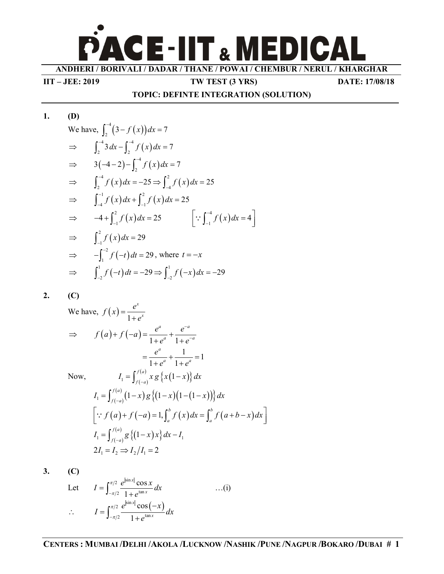**ANDHERI / BORIVALI / DADAR / THANE / POWAI / CHEMBUR / NERUL / KHARGHAR**

**CE-IIT & MEDICAL** 

**IIT – JEE: 2019 TW TEST (3 YRS) DATE: 17/08/18**

#### **TOPIC: DEFINTE INTEGRATION (SOLUTION)**

1. **(D)**  
\nWe have, 
$$
\int_{2}^{-4} (3 - f(x)) dx = 7
$$
  
\n $\Rightarrow \int_{2}^{-4} 3 dx - \int_{2}^{-4} f(x) dx = 7$   
\n $\Rightarrow 3(-4 - 2) - \int_{2}^{-4} f(x) dx = 7$   
\n $\Rightarrow \int_{2}^{-4} f(x) dx = -25 \Rightarrow \int_{-4}^{2} f(x) dx = 25$   
\n $\Rightarrow \int_{-4}^{-1} f(x) dx + \int_{-1}^{2} f(x) dx = 25$   
\n $\Rightarrow -4 + \int_{-1}^{2} f(x) dx = 25$   $[\because \int_{-1}^{-4} f(x) dx = 4]$   
\n $\Rightarrow \int_{-1}^{2} f(x) dx = 29$   
\n $\Rightarrow -\int_{-1}^{-2} f(-t) dt = 29$ , where  $t = -x$   
\n $\Rightarrow \int_{-2}^{1} f(-t) dt = -29 \Rightarrow \int_{-2}^{1} f(-x) dx = -29$ 

*x*

## **2. (C)**

We have,  $f(x)$ 1 *x*  $f(x) = \frac{e}{1}$ *e*  $=$  $^{+}$  $(a)+f(-a)$  $1 + e^a$  1*a*  $a^{-a}$  $f(a)+f(-a)=\frac{e^a}{1+e^a}+\frac{e^{-a}}{1+e^{-a}}$  $e^a$  1+ $e^-$ - $\Rightarrow$   $f(a)+f(-a)=\frac{c}{1+e^a}+\frac{c}{1+e^-}$  $\frac{1}{a}$  = 1  $1 + e^a$  1*a*  $a \quad 1 \quad a^a$ *e*  $e^a$  1+ $e^a$  $=\frac{c}{1-a}+\frac{1}{1-a}=1$  $+e^a$   $1+e^a$ Now,  $(-a)$  $f_1 = \int_{f(a)}^{f(a)} x g \{x(1-x)\} d$  $I_1 = \int_{f(-a)}^{f(x)} x g \{x(1-x)\} dx$  $\binom{1-x}{-a}$  $(a)$  $\mathcal{L}_1 = \int_{c(x)}^{f(a)} (1-x) g\left\{ (1-x) (1-(1-x)) \right\} dx$  $I_1 = \int_{f(-a)}^{f(-a)} (1-x) g\left\{ (1-x) (1-(1-x)) \right\} dx$  $(a) + f(-a) = 1, \int_{a}^{b} f(x) dx = \int_{a}^{b} f(a+b-x)$  $\left[ \because f(a) + f(-a) = 1, \int_a^b f(x) dx = \int_a^b f(a+b-x) dx \right]$  $(-a)$  $\hat{f}_1 = \int_{f(a)}^{f(a)} g\left\{ (1-x)x \right\} dx - I_1$  $I_1 = \int_{f(-a)}^{f(x)} g\left\{ (1-x)x \right\} dx - I_1$  $2I_1 = I_2 \Rightarrow I_2/I_1 = 2$ 

**3. (C)**

Let 
$$
I = \int_{-\pi/2}^{\pi/2} \frac{e^{|\sin x|} \cos x}{1 + e^{\tan x}} dx
$$
...(i)  
 
$$
\therefore \qquad I = \int_{-\pi/2}^{\pi/2} \frac{e^{|\sin x|} \cos(-x)}{1 + e^{\tan x}} dx
$$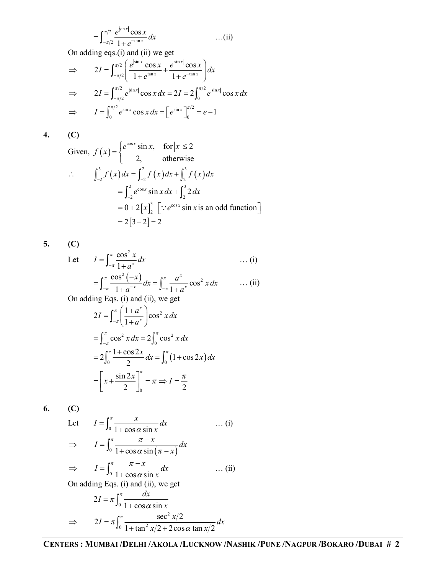$$
= \int_{-\pi/2}^{\pi/2} \frac{e^{|\sin x|} \cos x}{1 + e^{-\tan x}} dx
$$
 ... (ii)

On adding eqs.(i) and (ii) we get

$$
\Rightarrow 2I = \int_{-\pi/2}^{\pi/2} \left( \frac{e^{|\sin x|} \cos x}{1 + e^{\tan x}} + \frac{e^{|\sin x|} \cos x}{1 + e^{-\tan x}} \right) dx
$$
  

$$
\Rightarrow 2I = \int_{-\pi/2}^{\pi/2} e^{|\sin x|} \cos x \, dx = 2I = 2 \int_{0}^{\pi/2} e^{|\sin x|} \cos x \, dx
$$
  

$$
\Rightarrow I = \int_{0}^{\pi/2} e^{\sin x} \cos x \, dx = \left[ e^{\sin x} \right]_{0}^{\pi/2} = e - 1
$$

**4. (C)**

Given, 
$$
f(x) = \begin{cases} e^{\cos x} \sin x, & \text{for } |x| \le 2 \\ 2, & \text{otherwise} \end{cases}
$$
  
\n
$$
\therefore \qquad \int_{-2}^{3} f(x) dx = \int_{-2}^{2} f(x) dx + \int_{2}^{3} f(x) dx
$$
\n
$$
= \int_{-2}^{2} e^{\cos x} \sin x dx + \int_{2}^{3} 2 dx
$$
\n
$$
= 0 + 2[x]_{2}^{3} \quad [\because e^{\cos x} \sin x \text{ is an odd function}]
$$
\n
$$
= 2[3 - 2] = 2
$$

**5. (C)**

Let 
$$
I = \int_{-\pi}^{\pi} \frac{\cos^2 x}{1 + a^x} dx
$$
 ... (i)  

$$
= \int_{-\pi}^{\pi} \frac{\cos^2 (-x)}{1 + a^{-x}} dx = \int_{-\pi}^{\pi} \frac{a^x}{1 + a^x} \cos^2 x dx
$$
 ... (ii)  
On adding Eqs. (i) and (ii) we get

On adding Eqs. (i) and (ii), we get

$$
2I = \int_{-\pi}^{\pi} \left( \frac{1 + a^x}{1 + a^x} \right) \cos^2 x \, dx
$$
  
=  $\int_{-\pi}^{\pi} \cos^2 x \, dx = 2 \int_{0}^{\pi} \cos^2 x \, dx$   
=  $2 \int_{0}^{\pi} \frac{1 + \cos 2x}{2} \, dx = \int_{0}^{\pi} (1 + \cos 2x) \, dx$   
=  $\left[ x + \frac{\sin 2x}{2} \right]_{0}^{\pi} = \pi \Rightarrow I = \frac{\pi}{2}$ 

**6. (C)**

Let

Let 
$$
I = \int_0^{\pi} \frac{x}{1 + \cos \alpha \sin x} dx \qquad \dots (i)
$$

$$
\Rightarrow \qquad I = \int_0^{\pi} \frac{\pi - x}{1 + \cos \alpha \sin (\pi - x)} dx
$$

$$
\Rightarrow I = \int_0^{\pi} \frac{\pi - x}{1 + \cos \alpha \sin x} dx \qquad \dots (ii)
$$
  
On adding Eqs. (i) and (ii), we get  

$$
2I = \pi \int_0^{\pi} \frac{dx}{1 + \cos \alpha \sin x}
$$

$$
\Rightarrow 2I = \pi \int_0^{\pi} \frac{\sec^2 x/2}{1 + \tan^2 x/2 + 2\cos \alpha \tan x/2} dx
$$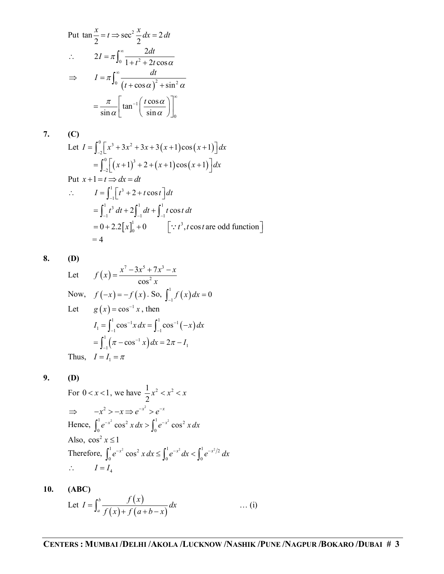Put 
$$
\tan \frac{x}{2} = t \Rightarrow \sec^2 \frac{x}{2} dx = 2 dt
$$
  
\n
$$
\therefore \qquad 2I = \pi \int_0^\infty \frac{2dt}{1 + t^2 + 2t \cos \alpha}
$$
\n
$$
\Rightarrow \qquad I = \pi \int_0^\infty \frac{dt}{(t + \cos \alpha)^2 + \sin^2 \alpha}
$$
\n
$$
= \frac{\pi}{\sin \alpha} \left[ \tan^{-1} \left( \frac{t \cos \alpha}{\sin \alpha} \right) \right]_0^\infty
$$

$$
7. (C)
$$

Let 
$$
I = \int_{-2}^{0} [x^3 + 3x^2 + 3x + 3(x+1)\cos(x+1)] dx
$$
  
\n
$$
= \int_{-2}^{0} [(x+1)^3 + 2 + (x+1)\cos(x+1)] dx
$$
\nPut  $x+1 = t \Rightarrow dx = dt$   
\n $\therefore$   $I = \int_{-1}^{1} [t^3 + 2 + t \cos t] dt$   
\n
$$
= \int_{-1}^{1} t^3 dt + 2 \int_{-1}^{1} dt + \int_{-1}^{1} t \cos t dt
$$
  
\n
$$
= 0 + 2.2[x]_{0}^{1} + 0 \qquad [\because t^3, t \cos t \text{ are odd function}]
$$
  
\n
$$
= 4
$$

**8. (D)**

Let 
$$
f(x) = \frac{x^7 - 3x^5 + 7x^3 - x}{\cos^2 x}
$$
  
\nNow,  $f(-x) = -f(x)$ . So,  $\int_{-1}^{1} f(x) dx = 0$   
\nLet  $g(x) = \cos^{-1} x$ , then  
\n $I_1 = \int_{-1}^{1} \cos^{-1} x dx = \int_{-1}^{1} \cos^{-1} (-x) dx$   
\n $= \int_{-1}^{1} (\pi - \cos^{-1} x) dx = 2\pi - I_1$   
\nThus,  $I = I_1 = \pi$ 

**9. (D)**

For 
$$
0 < x < 1
$$
, we have  $\frac{1}{2}x^2 < x^2 < x$   
\n $\Rightarrow -x^2 > -x \Rightarrow e^{-x^2} > e^{-x}$   
\nHence,  $\int_0^1 e^{-x^2} \cos^2 x \, dx > \int_0^1 e^{-x^2} \cos^2 x \, dx$   
\nAlso,  $\cos^2 x \le 1$   
\nTherefore,  $\int_0^1 e^{-x^2} \cos^2 x \, dx \le \int_0^1 e^{-x^2} \, dx < \int_0^1 e^{-x^2/2} \, dx$   
\n $\therefore I = I_4$ 

## **10. (ABC)**

Let 
$$
I = \int_{a}^{b} \frac{f(x)}{f(x) + f(a+b-x)} dx
$$
 ... (i)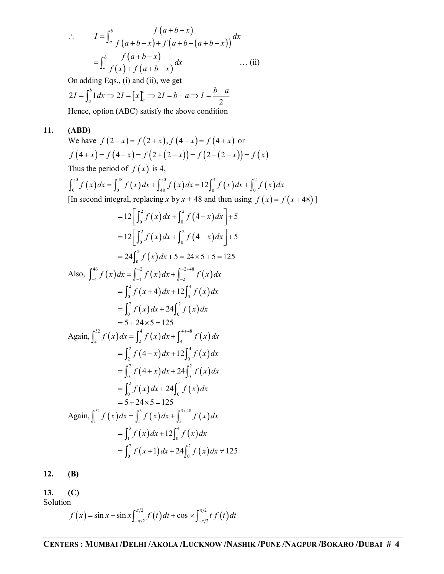$$
\therefore \qquad I = \int_a^b \frac{f(a+b-x)}{f(a+b-x) + f(a+b-(a+b-x))} dx
$$

$$
= \int_a^b \frac{f(a+b-x)}{f(x) + f(a+b-x)} dx \qquad \qquad \dots \text{ (ii)}
$$

On adding Eqs., (i) and (ii), we get

$$
2I = \int_a^b 1 dx \Rightarrow 2I = \left[x\right]_a^b \Rightarrow 2I = b - a \Rightarrow I = \frac{b - a}{2}
$$

Hence, option (ABC) satisfy the above condition

# **11. (ABD)**

We have 
$$
f(2-x) = f(2+x)
$$
,  $f(4-x) = f(4+x)$  or  
\n $f(4+x) = f(4-x) = f(2+(2-x)) = f(2-(2-x)) = f(x)$   
\nThus the period of  $f(x)$  is 4,  
\n
$$
\int_0^{50} f(x) dx = \int_0^{45} f(x) dx + \int_{48}^{50} f(x) dx = 12 \int_0^4 f(x) dx + \int_0^2 f(x) dx
$$
\n[In second integral, replacing x by  $x + 48$  and then using  $f(x) = f(x+48)$ ]  
\n
$$
= 12 \left[ \int_0^2 f(x) dx + \int_0^2 f(4-x) dx \right] + 5
$$
\n
$$
= 12 \left[ \int_0^2 f(x) dx + \int_0^2 f(4-x) dx \right] + 5
$$
\n
$$
= 24 \int_0^2 f(x) dx + 5 = 24 \times 5 + 5 = 125
$$
\nAlso, 
$$
\int_{-4}^{46} f(x) dx = \int_{-4}^{-2} f(x) dx + \int_{-2}^{-2+48} f(x) dx
$$
\n
$$
= \int_0^2 f(x+4) dx + 12 \int_0^4 f(x) dx
$$
\n
$$
= \int_0^2 f(x) dx + 24 \int_0^2 f(x) dx
$$
\n
$$
= 5 + 24 \times 5 = 125
$$
\nAgain, 
$$
\int_2^{52} f(x) dx = \int_2^4 f(x) dx + \int_4^{4+48} f(x) dx
$$
\n
$$
= \int_2^2 f(4-x) dx + 12 \int_0^4 f(x) dx
$$
\n
$$
= \int_0^2 f(4+x) dx + 24 \int_0^2 f(x) dx
$$
\n
$$
= \int_0^2 f(4+x) dx + 24 \int_0^2 f(x) dx
$$
\n
$$
= \int_0^2 f(x) dx + 24 \int_0^4 f(x) dx
$$
\n
$$
= \int_0^2 f(x) dx + \int_3^{3+48} f(x) dx
$$
\n
$$
= \int_0^2 f(x) dx + 24 \int_0^4 f(x) dx
$$
\n<math display="block</p>

**12. (B)**

## **13. (C)**

Solution

$$
f(x) = \sin x + \sin x \int_{-\pi/2}^{\pi/2} f(t) dt + \cos x \int_{-\pi/2}^{\pi/2} t f(t) dt
$$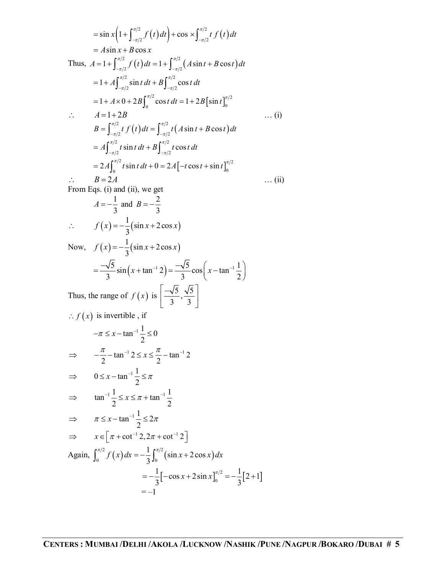$$
= \sin x (1 + \int_{-\pi/2}^{\pi/2} f(t) dt) + \cos x \int_{-\pi/2}^{\pi/2} f(t) dt
$$
  
\n
$$
= A \sin x + B \cos x
$$
  
\nThus,  $A = 1 + \int_{-\pi/2}^{\pi/2} f(t) dt = 1 + \int_{-\pi/2}^{\pi/2} (A \sin t + B \cos t) dt$   
\n
$$
= 1 + A \int_{-\pi/2}^{\pi/2} \sin t dt + B \int_{-\pi/2}^{\pi/2} \cos t dt
$$
  
\n
$$
= 1 + A \times 0 + 2B \int_{0}^{\pi/2} \cos t dt = 1 + 2B [\sin t]_{0}^{\pi/2}
$$
  
\n $\therefore$   $A = 1 + 2B$  ... (i)  
\n $B = \int_{-\pi/2}^{\pi/2} f(t) dt = \int_{-\pi/2}^{\pi/2} t (A \sin t + B \cos t) dt$   
\n
$$
= A \int_{-\pi/2}^{\pi/2} t \sin t dt + B \int_{-\pi/2}^{\pi/2} t \cos t dt
$$
  
\n
$$
= 2A \int_{0}^{\pi/2} t \sin t dt + 0 = 2A[-t \cos t + \sin t]_{0}^{\pi/2}
$$
  
\n $\therefore$   $B = 2A$   
\nFrom Eqs. (i) and (ii), we get  
\n $A = -\frac{1}{3}$  and  $B = -\frac{2}{3}$   
\n $\therefore$   $f(x) = -\frac{1}{3} (\sin x + 2 \cos x)$   
\nNow,  $f(x) = -\frac{1}{3} (\sin x + 2 \cos x)$   
\n
$$
= \frac{-\sqrt{5}}{3} \sin (x + \tan^{-1} 2) = \frac{-\sqrt{5}}{3} \cos (x - \tan^{-1} \frac{1}{2})
$$
  
\nThus, the range of  $f(x)$  is  $\left[\frac{-\sqrt{5}}{3}, \frac{\sqrt{5}}{3}\right]$   
\n $\therefore f(x)$  is invertible, if  
\n $-\pi \le x - \tan^{-1} \frac{1}{2} \le 0$   
\n $\Rightarrow -\frac{\pi}{2} - \$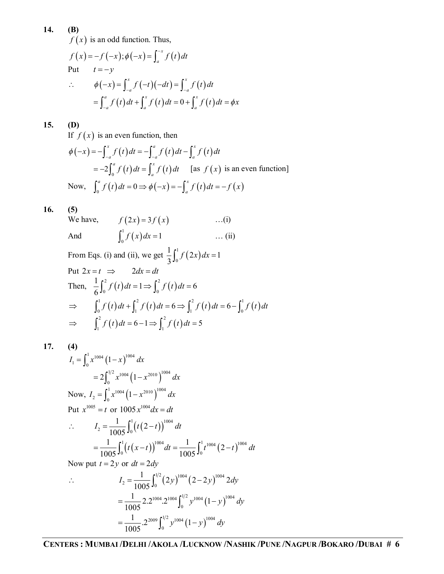**14. (B)**

 $f(x)$  is an odd function. Thus,

$$
f(x) = -f(-x); \phi(-x) = \int_a^{-x} f(t) dt
$$
  
Put  $t = -y$   

$$
\therefore \phi(-x) = \int_{-a}^{x} f(-t)(-dt) = \int_{-a}^{x} f(t) dt
$$

$$
= \int_{-a}^{a} f(t) dt + \int_{a}^{x} f(t) dt = 0 + \int_{a}^{x} f(t) dt = \phi x
$$

### **15. (D)**

If  $f(x)$  is an even function, then

$$
\phi(-x) = -\int_{-a}^{x} f(t) dt = -\int_{-a}^{a} f(t) dt - \int_{a}^{x} f(t) dt
$$
  
= -2\int\_{0}^{a} f(t) dt = \int\_{a}^{x} f(t) dt \quad [as \ f(x) is an even function]  
Now,  $\int_{0}^{a} f(t) dt = 0 \Rightarrow \phi(-x) = -\int_{a}^{x} f(t) dt = -f(x)$ 

## **16. (5)**

We have,  $f(2x) = 3f(x)$  ...(i) And  $\int_0^1 f(x)$  $\int_0^{\infty} f(x) dx = 1$  ... (ii)

From Eqs. (i) and (ii), we get 
$$
\frac{1}{3} \int_0^1 f(2x) dx = 1
$$
  
\nPut  $2x = t \implies 2dx = dt$   
\nThen,  $\frac{1}{6} \int_0^2 f(t) dt = 1 \implies \int_0^2 f(t) dt = 6$   
\n $\implies \int_0^1 f(t) dt + \int_1^2 f(t) dt = 6 \implies \int_1^2 f(t) dt = 6 - \int_0^1 f(t) dt$   
\n $\implies \int_1^2 f(t) dt = 6 - 1 \implies \int_1^2 f(t) dt = 5$ 

**17. (4)** 

$$
I_1 = \int_0^1 x^{1004} (1-x)^{1004} dx
$$
  
\n
$$
= 2 \int_0^{1/2} x^{1004} (1-x^{2010})^{1004} dx
$$
  
\nNow,  $I_2 = \int_0^1 x^{1004} (1-x^{2010})^{1004} dx$   
\nPut  $x^{1005} = t$  or  $1005 x^{1004} dx = dt$   
\n
$$
\therefore I_2 = \frac{1}{1005} \int_0^1 (t(2-t))^{1004} dt
$$
  
\n
$$
= \frac{1}{1005} \int_0^1 (t(x-t))^{1004} dt = \frac{1}{1005} \int_0^1 t^{1004} (2-t)^{1004} dt
$$
  
\nNow put  $t = 2y$  or  $dt = 2dy$ 

$$
I_2 = \frac{1}{1005} \int_0^{1/2} (2y)^{1004} (2 - 2y)^{1004} 2dy
$$
  
= 
$$
\frac{1}{1005} 2.2^{1004} . 2^{1004} \int_0^{1/2} y^{1004} (1 - y)^{1004} dy
$$
  
= 
$$
\frac{1}{1005} . 2^{2009} \int_0^{1/2} y^{1004} (1 - y)^{1004} dy
$$